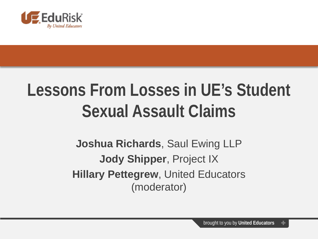

### **Lessons From Losses in UE's Student Sexual Assault Claims**

**Joshua Richards**, Saul Ewing LLP **Jody Shipper**, Project IX **Hillary Pettegrew**, United Educators (moderator)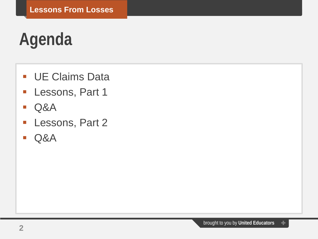# **Agenda**

- **UE Claims Data**
- **Lessons, Part 1**
- Q&A
- **Lessons, Part 2**
- Q&A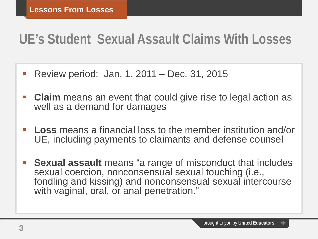### **UE's Student Sexual Assault Claims With Losses**

- Review period: Jan. 1, 2011 Dec. 31, 2015
- **Claim** means an event that could give rise to legal action as well as a demand for damages
- **Loss** means a financial loss to the member institution and/or UE, including payments to claimants and defense counsel
- **Sexual assault** means "a range of misconduct that includes sexual coercion, nonconsensual sexual touching (i.e., fondling and kissing) and nonconsensual sexual intercourse with vaginal, oral, or anal penetration."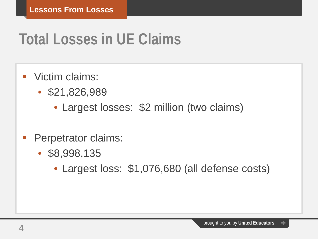### **Total Losses in UE Claims**

- **Victim claims:** 
	- \$21,826,989
		- Largest losses: \$2 million (two claims)
- Perpetrator claims:
	- \$8,998,135
		- Largest loss: \$1,076,680 (all defense costs)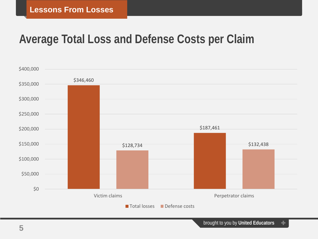#### **Average Total Loss and Defense Costs per Claim**

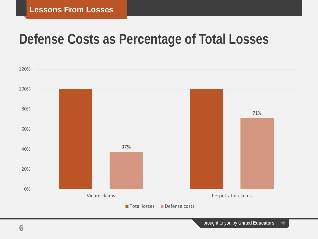### **Defense Costs as Percentage of Total Losses**

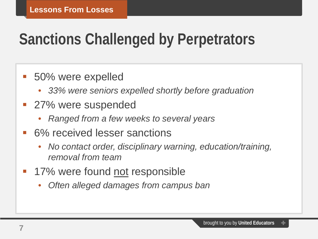### **Sanctions Challenged by Perpetrators**

#### **50% were expelled**

- *33% were seniors expelled shortly before graduation*
- **27% were suspended** 
	- *Ranged from a few weeks to several years*
- 6% received lesser sanctions
	- *No contact order, disciplinary warning, education/training, removal from team*
- **17%** were found not responsible
	- *Often alleged damages from campus ban*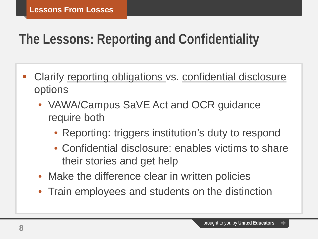### **The Lessons: Reporting and Confidentiality**

- Clarify reporting obligations vs. confidential disclosure options
	- VAWA/Campus SaVE Act and OCR guidance require both
		- Reporting: triggers institution's duty to respond
		- Confidential disclosure: enables victims to share their stories and get help
	- Make the difference clear in written policies
	- Train employees and students on the distinction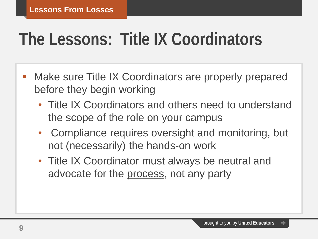# **The Lessons: Title IX Coordinators**

- Make sure Title IX Coordinators are properly prepared before they begin working
	- Title IX Coordinators and others need to understand the scope of the role on your campus
	- Compliance requires oversight and monitoring, but not (necessarily) the hands-on work
	- Title IX Coordinator must always be neutral and advocate for the process, not any party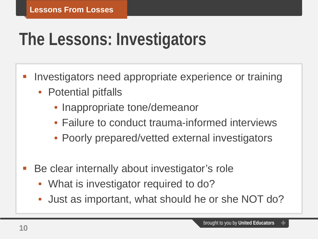# **The Lessons: Investigators**

- Investigators need appropriate experience or training
	- Potential pitfalls
		- Inappropriate tone/demeanor
		- Failure to conduct trauma-informed interviews
		- Poorly prepared/vetted external investigators
- Be clear internally about investigator's role
	- What is investigator required to do?
	- Just as important, what should he or she NOT do?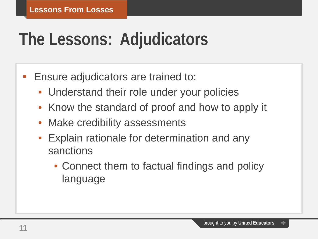# **The Lessons: Adjudicators**

- **Ensure adjudicators are trained to:** 
	- Understand their role under your policies
	- Know the standard of proof and how to apply it
	- Make credibility assessments
	- Explain rationale for determination and any sanctions
		- Connect them to factual findings and policy language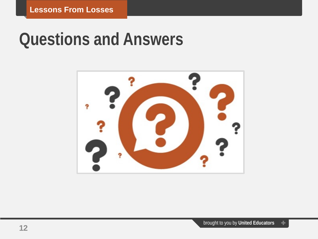### **Questions and Answers**

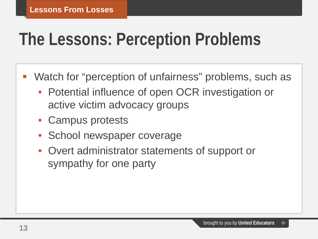# **The Lessons: Perception Problems**

- Watch for "perception of unfairness" problems, such as
	- Potential influence of open OCR investigation or active victim advocacy groups
	- Campus protests
	- School newspaper coverage
	- Overt administrator statements of support or sympathy for one party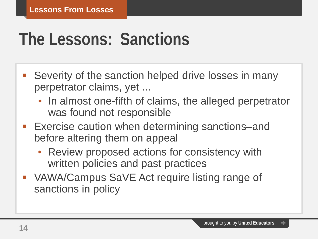# **The Lessons: Sanctions**

- Severity of the sanction helped drive losses in many perpetrator claims, yet ...
	- In almost one-fifth of claims, the alleged perpetrator was found not responsible
- Exercise caution when determining sanctions–and before altering them on appeal
	- Review proposed actions for consistency with written policies and past practices
- VAWA/Campus SaVE Act require listing range of sanctions in policy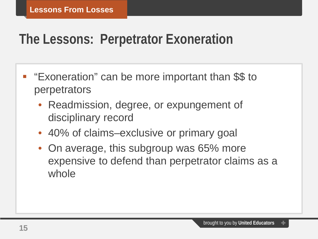### **The Lessons: Perpetrator Exoneration**

- "Exoneration" can be more important than \$\$ to perpetrators
	- Readmission, degree, or expungement of disciplinary record
	- 40% of claims–exclusive or primary goal
	- On average, this subgroup was 65% more expensive to defend than perpetrator claims as a whole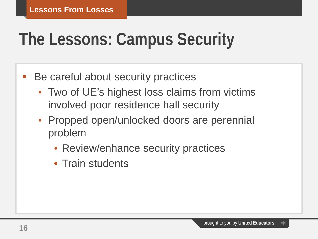# **The Lessons: Campus Security**

- Be careful about security practices
	- Two of UE's highest loss claims from victims involved poor residence hall security
	- Propped open/unlocked doors are perennial problem
		- Review/enhance security practices
		- Train students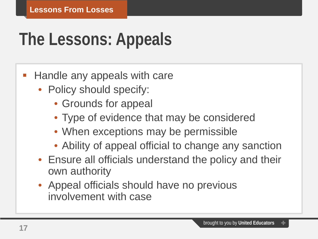# **The Lessons: Appeals**

#### Handle any appeals with care

- Policy should specify:
	- Grounds for appeal
	- Type of evidence that may be considered
	- When exceptions may be permissible
	- Ability of appeal official to change any sanction
- Ensure all officials understand the policy and their own authority
- Appeal officials should have no previous involvement with case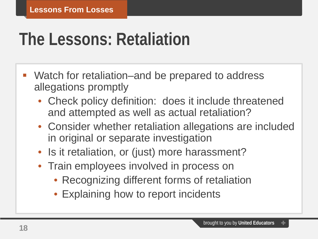# **The Lessons: Retaliation**

- Watch for retaliation–and be prepared to address allegations promptly
	- Check policy definition: does it include threatened and attempted as well as actual retaliation?
	- Consider whether retaliation allegations are included in original or separate investigation
	- Is it retaliation, or (just) more harassment?
	- Train employees involved in process on
		- Recognizing different forms of retaliation
		- Explaining how to report incidents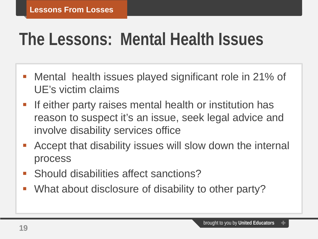## **The Lessons: Mental Health Issues**

- Mental health issues played significant role in 21% of UE's victim claims
- **If either party raises mental health or institution has** reason to suspect it's an issue, seek legal advice and involve disability services office
- Accept that disability issues will slow down the internal process
- Should disabilities affect sanctions?
- What about disclosure of disability to other party?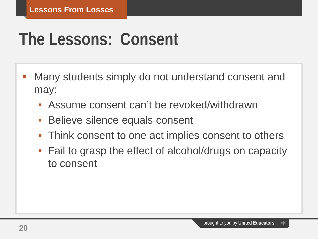# **The Lessons: Consent**

- Many students simply do not understand consent and may:
	- Assume consent can't be revoked/withdrawn
	- Believe silence equals consent
	- Think consent to one act implies consent to others
	- Fail to grasp the effect of alcohol/drugs on capacity to consent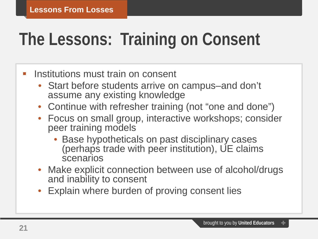# **The Lessons: Training on Consent**

#### **Institutions must train on consent**

- Start before students arrive on campus–and don't assume any existing knowledge
- Continue with refresher training (not "one and done")
- Focus on small group, interactive workshops; consider peer training models
	- Base hypotheticals on past disciplinary cases (perhaps trade with peer institution), UE claims scenarios
- Make explicit connection between use of alcohol/drugs and inability to consent
- Explain where burden of proving consent lies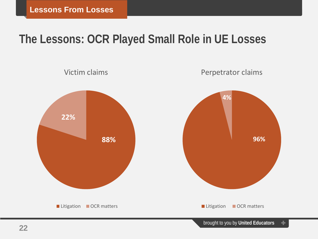### **The Lessons: OCR Played Small Role in UE Losses**

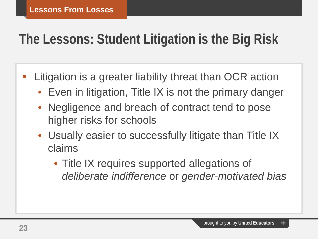### **The Lessons: Student Litigation is the Big Risk**

- Litigation is a greater liability threat than OCR action
	- Even in litigation, Title IX is not the primary danger
	- Negligence and breach of contract tend to pose higher risks for schools
	- Usually easier to successfully litigate than Title IX claims
		- Title IX requires supported allegations of *deliberate indifference* or *gender-motivated bias*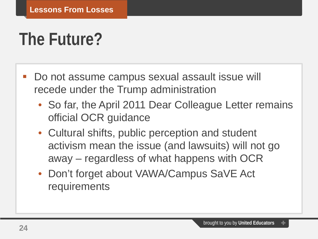### **The Future?**

- Do not assume campus sexual assault issue will recede under the Trump administration
	- So far, the April 2011 Dear Colleague Letter remains official OCR guidance
	- Cultural shifts, public perception and student activism mean the issue (and lawsuits) will not go away – regardless of what happens with OCR
	- Don't forget about VAWA/Campus SaVE Act requirements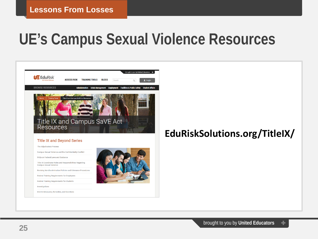### **UE's Campus Sexual Violence Resources**



Revising Nondiscrimination Policies and Grievance Procedures

**Federal Training Requirements for Employees Federal Training Requirements for Students** 

Interim Measures, Remedies, and Sanctions

Investigations

#### **EduRiskSolutions.org/TitleIX/**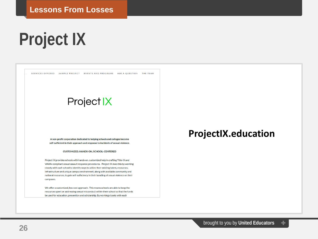# **Project IX**

SERVICES OFFERED SAMPLE PROJECT EVENTS AND PROGRAMS ASK A QUESTION THE TEAM

#### Project IX

A non-profit corporation dedicated to helping schools and colleges become self-sufficient in their approach and response to incidents of sexual violence.

#### CUSTOMIZED, HANDS-ON, SCHOOL-CENTERED

Project IX provides schools with hands-on, customized help in crafting Title-IX and VAWA-compliant sexual assault response procedures. Project IX does this by working closely with each school to identify ways to utilize their existing talent, resources, infrastructure and unique campus environment, along with available community and national resources, to gain self-sufficiency in their handling of sexual violence on their campuses.

We offer a customized, low cost approach. This means schools are able to keep the resources spent on addressing sexual misconduct within their school so that the funds be used for education, prevention and scholarship. By working closely with each

#### **ProjectIX.education**